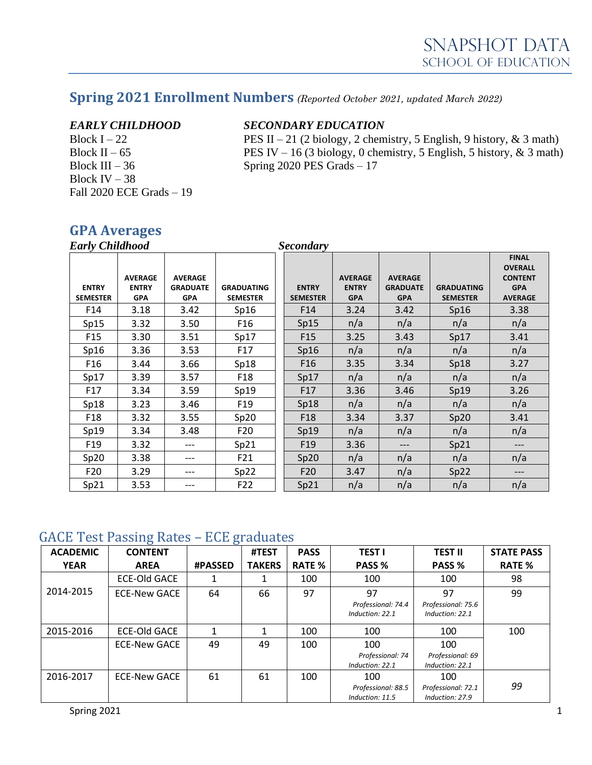# **Spring 2021 Enrollment Numbers** *(Reported October 2021, updated March 2022)*

Block IV –  $38$ Fall 2020 ECE Grads – 19

#### *EARLY CHILDHOOD SECONDARY EDUCATION*

Block I – 22 PES II – 21 (2 biology, 2 chemistry, 5 English, 9 history, & 3 math) Block II – 65 PES IV – 16 (3 biology, 0 chemistry, 5 English, 5 history, & 3 math) Block III –  $36$  Spring 2020 PES Grads – 17

## **GPA Averages**

| <b>Early Childhood</b>          |                                              |                                                 |                                      |  | <b>Secondary</b>                |                                              |                                                 |                                      |                                                                                  |
|---------------------------------|----------------------------------------------|-------------------------------------------------|--------------------------------------|--|---------------------------------|----------------------------------------------|-------------------------------------------------|--------------------------------------|----------------------------------------------------------------------------------|
| <b>ENTRY</b><br><b>SEMESTER</b> | <b>AVERAGE</b><br><b>ENTRY</b><br><b>GPA</b> | <b>AVERAGE</b><br><b>GRADUATE</b><br><b>GPA</b> | <b>GRADUATING</b><br><b>SEMESTER</b> |  | <b>ENTRY</b><br><b>SEMESTER</b> | <b>AVERAGE</b><br><b>ENTRY</b><br><b>GPA</b> | <b>AVERAGE</b><br><b>GRADUATE</b><br><b>GPA</b> | <b>GRADUATING</b><br><b>SEMESTER</b> | <b>FINAL</b><br><b>OVERALL</b><br><b>CONTENT</b><br><b>GPA</b><br><b>AVERAGE</b> |
| F14                             | 3.18                                         | 3.42                                            | Sp16                                 |  | F14                             | 3.24                                         | 3.42                                            | Sp16                                 | 3.38                                                                             |
| Sp15                            | 3.32                                         | 3.50                                            | F <sub>16</sub>                      |  | Sp15                            | n/a                                          | n/a                                             | n/a                                  | n/a                                                                              |
| F <sub>15</sub>                 | 3.30                                         | 3.51                                            | Sp17                                 |  | F <sub>15</sub>                 | 3.25                                         | 3.43                                            | Sp17                                 | 3.41                                                                             |
| Sp16                            | 3.36                                         | 3.53                                            | F17                                  |  | Sp16                            | n/a                                          | n/a                                             | n/a                                  | n/a                                                                              |
| F <sub>16</sub>                 | 3.44                                         | 3.66                                            | Sp18                                 |  | F <sub>16</sub>                 | 3.35                                         | 3.34                                            | Sp18                                 | 3.27                                                                             |
| Sp17                            | 3.39                                         | 3.57                                            | F <sub>18</sub>                      |  | Sp17                            | n/a                                          | n/a                                             | n/a                                  | n/a                                                                              |
| F17                             | 3.34                                         | 3.59                                            | Sp19                                 |  | F <sub>17</sub>                 | 3.36                                         | 3.46                                            | Sp19                                 | 3.26                                                                             |
| Sp18                            | 3.23                                         | 3.46                                            | F <sub>19</sub>                      |  | Sp18                            | n/a                                          | n/a                                             | n/a                                  | n/a                                                                              |
| F <sub>18</sub>                 | 3.32                                         | 3.55                                            | Sp20                                 |  | F <sub>18</sub>                 | 3.34                                         | 3.37                                            | Sp20                                 | 3.41                                                                             |
| Sp19                            | 3.34                                         | 3.48                                            | F <sub>20</sub>                      |  | Sp19                            | n/a                                          | n/a                                             | n/a                                  | n/a                                                                              |
| F <sub>19</sub>                 | 3.32                                         | ---                                             | Sp21                                 |  | F <sub>19</sub>                 | 3.36                                         | $---$                                           | Sp21                                 | ---                                                                              |
| Sp20                            | 3.38                                         | ---                                             | F21                                  |  | Sp20                            | n/a                                          | n/a                                             | n/a                                  | n/a                                                                              |
| F <sub>20</sub>                 | 3.29                                         | $---$                                           | Sp22                                 |  | F <sub>20</sub>                 | 3.47                                         | n/a                                             | Sp22                                 | ---                                                                              |
| Sp21                            | 3.53                                         | $---$                                           | F <sub>22</sub>                      |  | Sp21                            | n/a                                          | n/a                                             | n/a                                  | n/a                                                                              |

#### GACE Test Passing Rates – ECE graduates

| <b>ACADEMIC</b> | ඁ<br><b>CONTENT</b> | ഄ              | #TEST         | <b>PASS</b>   | <b>TEST I</b>                                | <b>TEST II</b>                               | <b>STATE PASS</b> |
|-----------------|---------------------|----------------|---------------|---------------|----------------------------------------------|----------------------------------------------|-------------------|
| <b>YEAR</b>     | <b>AREA</b>         | <b>#PASSED</b> | <b>TAKERS</b> | <b>RATE %</b> | PASS %                                       | PASS %                                       | <b>RATE %</b>     |
|                 | <b>ECE-Old GACE</b> |                |               | 100           | 100                                          | 100                                          | 98                |
| 2014-2015       | <b>ECE-New GACE</b> | 64             | 66            | 97            | 97<br>Professional: 74.4<br>Induction: 22.1  | 97<br>Professional: 75.6<br>Induction: 22.1  | 99                |
| 2015-2016       | ECE-Old GACE        |                |               | 100           | 100                                          | 100                                          | 100               |
|                 | <b>ECE-New GACE</b> | 49             | 49            | 100           | 100<br>Professional: 74<br>Induction: 22.1   | 100<br>Professional: 69<br>Induction: 22.1   |                   |
| 2016-2017       | <b>ECE-New GACE</b> | 61             | 61            | 100           | 100<br>Professional: 88.5<br>Induction: 11.5 | 100<br>Professional: 72.1<br>Induction: 27.9 | 99                |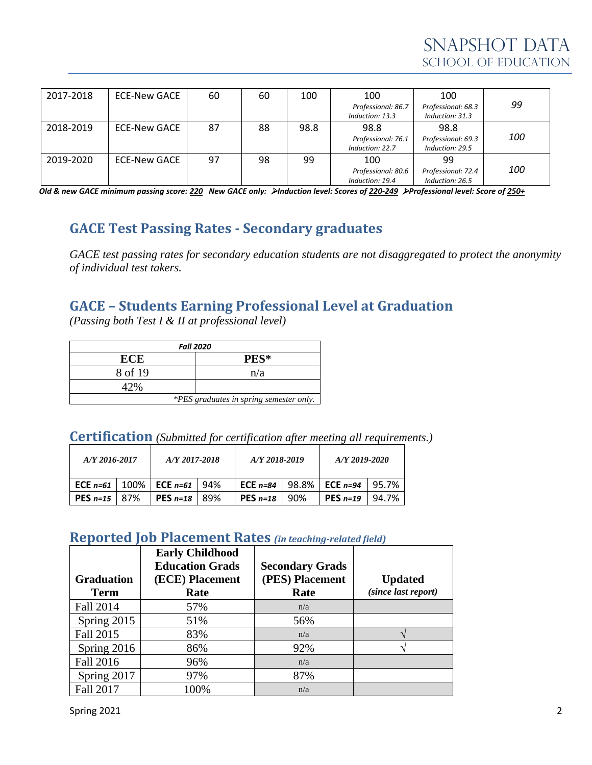| 2017-2018 | ECE-New GACE | 60 | 60 | 100  | 100                | 100                |            |  |
|-----------|--------------|----|----|------|--------------------|--------------------|------------|--|
|           |              |    |    |      | Professional: 86.7 | Professional: 68.3 | 99         |  |
|           |              |    |    |      | Induction: 13.3    | Induction: 31.3    |            |  |
| 2018-2019 | ECE-New GACE | 87 | 88 | 98.8 | 98.8               | 98.8               |            |  |
|           |              |    |    |      | Professional: 76.1 | Professional: 69.3 | <i>100</i> |  |
|           |              |    |    |      | Induction: 22.7    | Induction: 29.5    |            |  |
| 2019-2020 | ECE-New GACE | 97 | 98 | 99   | 100                | 99                 |            |  |
|           |              |    |    |      | Professional: 80.6 | Professional: 72.4 | <i>100</i> |  |
|           |              |    |    |      | Induction: 19.4    | Induction: 26.5    |            |  |

*Old & new GACE minimum passing score: 220 New GACE only:* ➢*Induction level: Scores of 220-249* ➢*Professional level: Score of 250+*

# **GACE Test Passing Rates - Secondary graduates**

*GACE test passing rates for secondary education students are not disaggregated to protect the anonymity of individual test takers.*

#### **GACE – Students Earning Professional Level at Graduation**

*(Passing both Test I & II at professional level)*

| <b>Fall 2020</b>                        |      |  |  |  |  |  |
|-----------------------------------------|------|--|--|--|--|--|
| <b>ECE</b>                              | PES* |  |  |  |  |  |
| 8 of 19                                 | n/a  |  |  |  |  |  |
| 47%                                     |      |  |  |  |  |  |
| *PES graduates in spring semester only. |      |  |  |  |  |  |

| <b>Certification</b> (Submitted for certification after meeting all requirements.) |  |  |  |  |  |
|------------------------------------------------------------------------------------|--|--|--|--|--|
|------------------------------------------------------------------------------------|--|--|--|--|--|

| A/Y 2016-2017           |  | A/Y 2017-2018                                      |      | A/Y 2018-2019 |         | A/Y 2019-2020   |       |
|-------------------------|--|----------------------------------------------------|------|---------------|---------|-----------------|-------|
|                         |  | <b>ECE</b> $n=61$   100%   <b>ECE</b> $n=61$   94% |      | ECE $n=84$    | l 98.8% | $\mid$ ECE n=94 | 95.7% |
| <b>PES</b> $n=15$   87% |  | PES $n=18$                                         | -89% | PES $n=18$    | 90%     | PES $n=19$      | 94.7% |

#### **Reported Job Placement Rates** *(in teaching-related field)*

|                   | <b>Early Childhood</b><br><b>Education Grads</b> | <b>Secondary Grads</b> |                     |
|-------------------|--------------------------------------------------|------------------------|---------------------|
| <b>Graduation</b> | (ECE) Placement                                  | (PES) Placement        | <b>Updated</b>      |
| <b>Term</b>       | Rate                                             | Rate                   | (since last report) |
| Fall 2014         | 57%                                              | n/a                    |                     |
| Spring 2015       | 51%                                              | 56%                    |                     |
| Fall 2015         | 83%                                              | n/a                    |                     |
| Spring 2016       | 86%                                              | 92%                    |                     |
| Fall 2016         | 96%                                              | n/a                    |                     |
| Spring 2017       | 97%                                              | 87%                    |                     |
| <b>Fall 2017</b>  | 100%                                             | n/a                    |                     |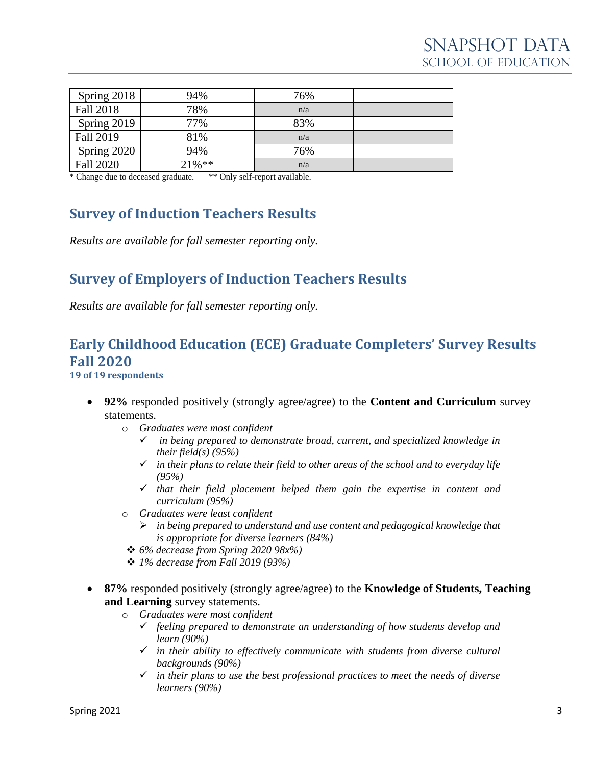| Spring 2018      | 94%       | 76% |  |
|------------------|-----------|-----|--|
| Fall 2018        | 78%       | n/a |  |
| Spring 2019      | 77%       | 83% |  |
| Fall 2019        | 81%       | n/a |  |
| Spring 2020      | 94%       | 76% |  |
| <b>Fall 2020</b> | $21\%$ ** | n/a |  |

\* Change due to deceased graduate. \*\* Only self-report available.

# **Survey of Induction Teachers Results**

*Results are available for fall semester reporting only.*

## **Survey of Employers of Induction Teachers Results**

*Results are available for fall semester reporting only.*

# **Early Childhood Education (ECE) Graduate Completers' Survey Results Fall 2020**

**19 of 19 respondents**

- **92%** responded positively (strongly agree/agree) to the **Content and Curriculum** survey statements.
	- o *Graduates were most confident*
		- ✓ *in being prepared to demonstrate broad, current, and specialized knowledge in their field(s) (95%)*
		- ✓ *in their plans to relate their field to other areas of the school and to everyday life (95%)*
		- ✓ *that their field placement helped them gain the expertise in content and curriculum (95%)*
	- o *Graduates were least confident*
		- ➢ *in being prepared to understand and use content and pedagogical knowledge that is appropriate for diverse learners (84%)*
	- ❖ *6% decrease from Spring 2020 98x%)*
	- ❖ *1% decrease from Fall 2019 (93%)*
- **87%** responded positively (strongly agree/agree) to the **Knowledge of Students, Teaching and Learning** survey statements.
	- o *Graduates were most confident*
		- ✓ *feeling prepared to demonstrate an understanding of how students develop and learn (90%)*
		- ✓ *in their ability to effectively communicate with students from diverse cultural backgrounds (90%)*
		- ✓ *in their plans to use the best professional practices to meet the needs of diverse learners (90%)*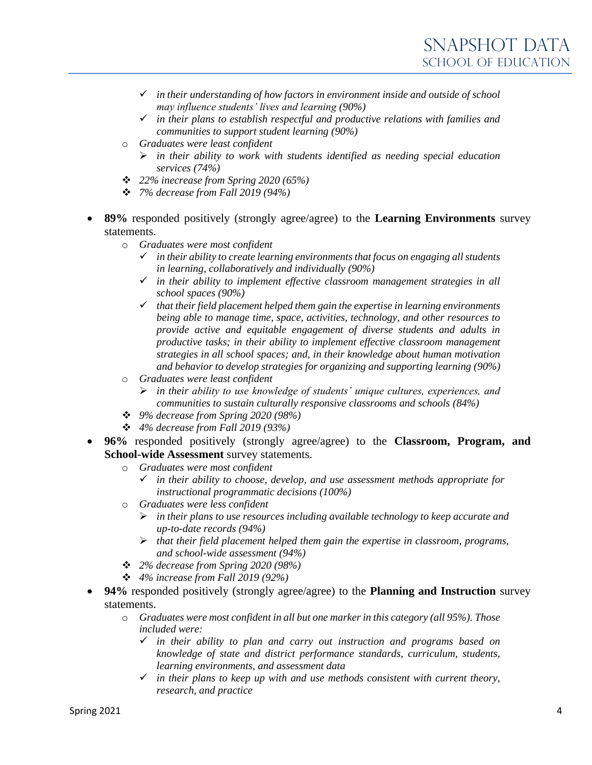- ✓ *in their understanding of how factors in environment inside and outside of school may influence students' lives and learning (90%)*
- ✓ *in their plans to establish respectful and productive relations with families and communities to support student learning (90%)*
- o *Graduates were least confident*
	- ➢ *in their ability to work with students identified as needing special education services (74%)*
- ❖ *22% inecrease from Spring 2020 (65%)*
- ❖ *7% decrease from Fall 2019 (94%)*
- **89%** responded positively (strongly agree/agree) to the **Learning Environments** survey statements.
	- o *Graduates were most confident*
		- ✓ *in their ability to create learning environments that focus on engaging all students in learning, collaboratively and individually (90%)*
		- ✓ *in their ability to implement effective classroom management strategies in all school spaces (90%)*
		- ✓ *that their field placement helped them gain the expertise in learning environments being able to manage time, space, activities, technology, and other resources to provide active and equitable engagement of diverse students and adults in productive tasks; in their ability to implement effective classroom management strategies in all school spaces; and, in their knowledge about human motivation and behavior to develop strategies for organizing and supporting learning (90%)*
	- o *Graduates were least confident*
		- ➢ *in their ability to use knowledge of students' unique cultures, experiences, and communities to sustain culturally responsive classrooms and schools (84%)*
	- ❖ *9% decrease from Spring 2020 (98%)*
	- ❖ *4% decrease from Fall 2019 (93%)*
- **96%** responded positively (strongly agree/agree) to the **Classroom, Program, and School-wide Assessment** survey statements.
	- o *Graduates were most confident*
		- ✓ *in their ability to choose, develop, and use assessment methods appropriate for instructional programmatic decisions (100%)*
	- o *Graduates were less confident*
		- ➢ *in their plans to use resources including available technology to keep accurate and up-to-date records (94%)*
		- ➢ *that their field placement helped them gain the expertise in classroom, programs, and school-wide assessment (94%)*
	- ❖ *2% decrease from Spring 2020 (98%)*
	- ❖ *4% increase from Fall 2019 (92%)*
- **94%** responded positively (strongly agree/agree) to the **Planning and Instruction** survey statements.
	- o *Graduates were most confident in all but one marker in this category (all 95%). Those included were:*
		- ✓ *in their ability to plan and carry out instruction and programs based on knowledge of state and district performance standards, curriculum, students, learning environments, and assessment data*
		- ✓ *in their plans to keep up with and use methods consistent with current theory, research, and practice*